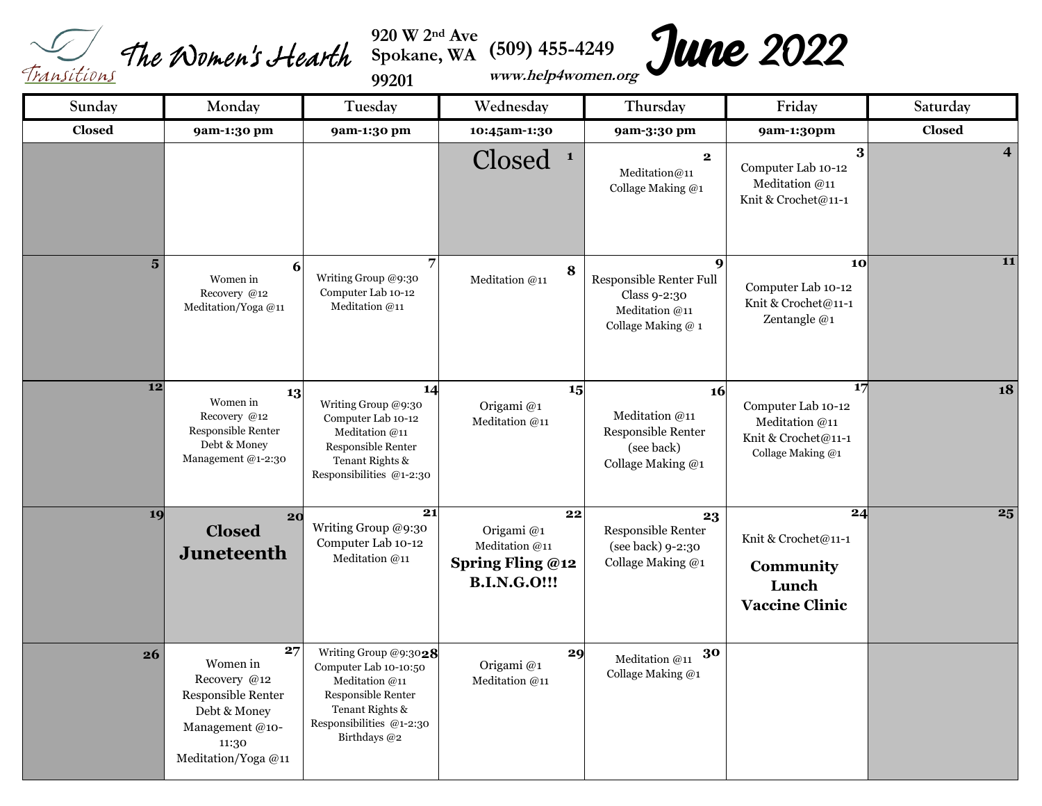<sup>920</sup> W<sup>2nd</sup> Ave **(509)** 455-4249<br>*Transitions The Women's Hearth* Spokane, WA (509) 455-4249

**920 W 2nd Ave Spokane, WA** 

**99201** 

**June 2022** 

| Sunday         | Monday                                                                                                                 | Tuesday                                                                                                                                               | Wednesday                                                                           | Thursday                                                                                            | Friday                                                                                 | Saturday                |
|----------------|------------------------------------------------------------------------------------------------------------------------|-------------------------------------------------------------------------------------------------------------------------------------------------------|-------------------------------------------------------------------------------------|-----------------------------------------------------------------------------------------------------|----------------------------------------------------------------------------------------|-------------------------|
| <b>Closed</b>  | 9am-1:30 pm                                                                                                            | 9am-1:30 pm                                                                                                                                           | 10:45am-1:30                                                                        | 9am-3:30 pm                                                                                         | 9am-1:30pm                                                                             | <b>Closed</b>           |
|                |                                                                                                                        |                                                                                                                                                       | Closed<br>$\mathbf{1}$                                                              | $\mathbf{2}$<br>Meditation@11<br>Collage Making @1                                                  | 3<br>Computer Lab 10-12<br>Meditation @11<br>Knit & Crochet@11-1                       | $\overline{\mathbf{4}}$ |
| 5 <sup>5</sup> | 6<br>Women in<br>Recovery @12<br>Meditation/Yoga@11                                                                    | $\overline{7}$<br>Writing Group @9:30<br>Computer Lab 10-12<br>Meditation $@11$                                                                       | 8<br>Meditation @11                                                                 | $\boldsymbol{9}$<br>Responsible Renter Full<br>Class 9-2:30<br>Meditation @11<br>Collage Making @ 1 | 10<br>Computer Lab 10-12<br>Knit & Crochet@11-1<br>Zentangle @1                        | 11                      |
| 12             | 13<br>Women in<br>Recovery @12<br>Responsible Renter<br>Debt & Money<br>Management @1-2:30                             | 14<br>Writing Group @9:30<br>Computer Lab 10-12<br>Meditation @11<br>Responsible Renter<br>Tenant Rights &<br>Responsibilities $@1-2:30$              | 15<br>Origami@1<br>Meditation @11                                                   | <b>16</b><br>Meditation @11<br>Responsible Renter<br>(see back)<br>Collage Making @1                | 17<br>Computer Lab 10-12<br>Meditation @11<br>Knit & Crochet@11-1<br>Collage Making @1 | 18                      |
| 19             | 20<br><b>Closed</b><br><b>Juneteenth</b>                                                                               | 21<br>Writing Group @9:30<br>Computer Lab 10-12<br>Meditation @11                                                                                     | 22<br>Origami@1<br>Meditation @11<br><b>Spring Fling @12</b><br><b>B.I.N.G.O!!!</b> | 23<br>Responsible Renter<br>(see back) 9-2:30<br>Collage Making @1                                  | 24<br>Knit & Crochet@11-1<br>Community<br>Lunch<br><b>Vaccine Clinic</b>               | $\overline{25}$         |
| 26             | 27<br>Women in<br>Recovery @12<br>Responsible Renter<br>Debt & Money<br>Management @10-<br>11:30<br>Meditation/Yoga@11 | Writing Group @9:3028<br>Computer Lab 10-10:50<br>Meditation @11<br>Responsible Renter<br>Tenant Rights &<br>Responsibilities @1-2:30<br>Birthdays @2 | 29<br>Origami@1<br>Meditation @11                                                   | 30<br>Meditation @11<br>Collage Making @1                                                           |                                                                                        |                         |